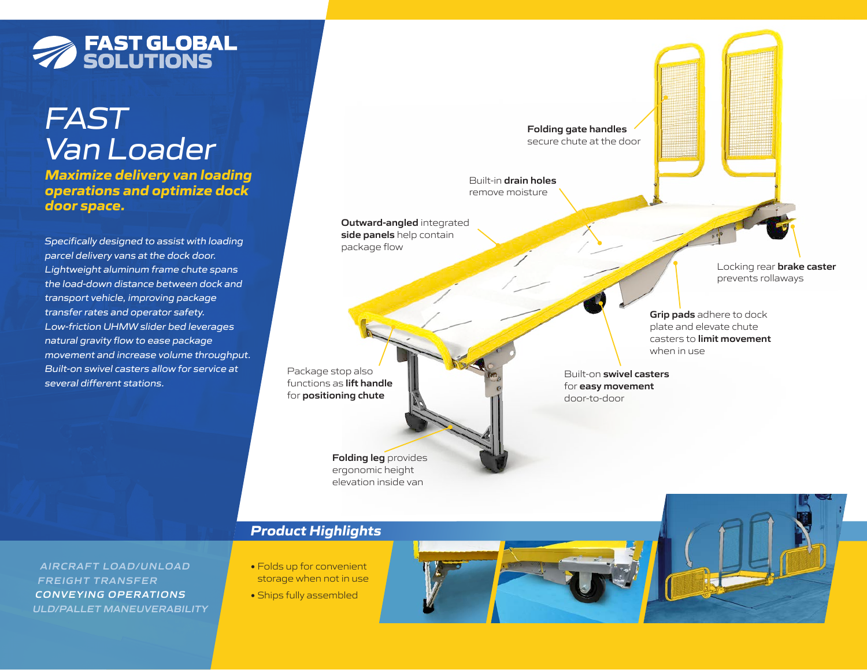# **SOLUTIONS**

### *FAST Van Loader*

*Maximize delivery van loading operations and optimize dock door space.*

*Specifically designed to assist with loading parcel delivery vans at the dock door. Lightweight aluminum frame chute spans the load-down distance between dock and transport vehicle, improving package transfer rates and operator safety. Low-friction UHMW slider bed leverages natural gravity flow to ease package movement and increase volume throughput. Built-on swivel casters allow for service at several different stations.*

**AIRCRAFT LOAD/UNLOAD FREIGHT TRANSFER CONVEYING OPERATIONS ULD/PALLET MANEUVERABILITY**

Built-in **drain holes**  remove moisture **Outward-angled** integrated **side panels** help contain package flow **Folding leg** provides ergonomic height elevation inside van Built-on **swivel casters** for **easy movement** door-to-door Locking rear **brake caster** prevents rollaways **Grip pads** adhere to dock plate and elevate chute casters to **limit movement** when in use **Folding gate handles** secure chute at the door Package stop also functions as **lift handle** for **positioning chute**

### *Product Highlights*

- Folds up for convenient storage when not in use
- **•** Ships fully assembled